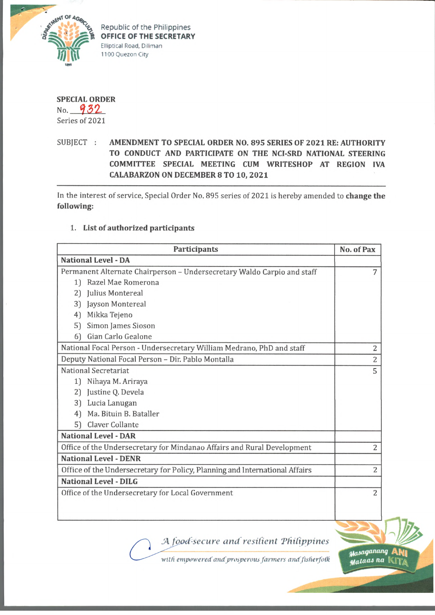

Republic of the Philippines **OFFICE OF THE SECRETARY Elliptical Road, Diliman 1100 Quezon City**



No. 932 Series of 2021

## SUBJECT **: AMENDMENT TO SPECIAL ORDER NO. 895 SERIES OF 2021 RE: AUTHORITY TO CONDUCT AND PARTICIPATE ON THE NCI-SRD NATIONAL STEERING COMMITTEE SPECIAL MEETING CUM WRITESHOP AT REGION IVA CALABARZON ON DECEMBER 8 TO 10, 2021**

In the interest of service, Special Order No. 895 series of 2021 is hereby amended to **change the following:**

## **1. List of authorized participants**

| <b>Participants</b>                                                         | No. of Pax     |
|-----------------------------------------------------------------------------|----------------|
| <b>National Level - DA</b>                                                  |                |
| Permanent Alternate Chairperson - Undersecretary Waldo Carpio and staff     | 7              |
| 1) Razel Mae Romerona                                                       |                |
| 2) Julius Montereal                                                         |                |
| 3) Jayson Montereal                                                         |                |
| Mikka Tejeno<br>4)                                                          |                |
| Simon James Sioson<br>51                                                    |                |
| Gian Carlo Gealone<br>61                                                    |                |
| National Focal Person - Undersecretary William Medrano, PhD and staff       | 2              |
| Deputy National Focal Person - Dir. Pablo Montalla                          | $\overline{c}$ |
| National Secretariat                                                        | 5              |
| 1) Nihaya M. Ariraya                                                        |                |
| 2) Justine Q. Devela                                                        |                |
| Lucia Lanugan<br>3)                                                         |                |
| Ma. Bituin B. Bataller<br>4                                                 |                |
| Claver Collante<br>51                                                       |                |
| <b>National Level - DAR</b>                                                 |                |
| Office of the Undersecretary for Mindanao Affairs and Rural Development     | $\overline{c}$ |
| <b>National Level - DENR</b>                                                |                |
| Office of the Undersecretary for Policy, Planning and International Affairs | $\overline{2}$ |
| <b>National Level - DILG</b>                                                |                |
| Office of the Undersecretary for Local Government                           | 2              |
|                                                                             |                |
|                                                                             |                |
|                                                                             |                |

*A fgotfsccure and resilient 'Philippines*

with empowered and prosperous farmers and fisherfolk

Masaganang Mataas na